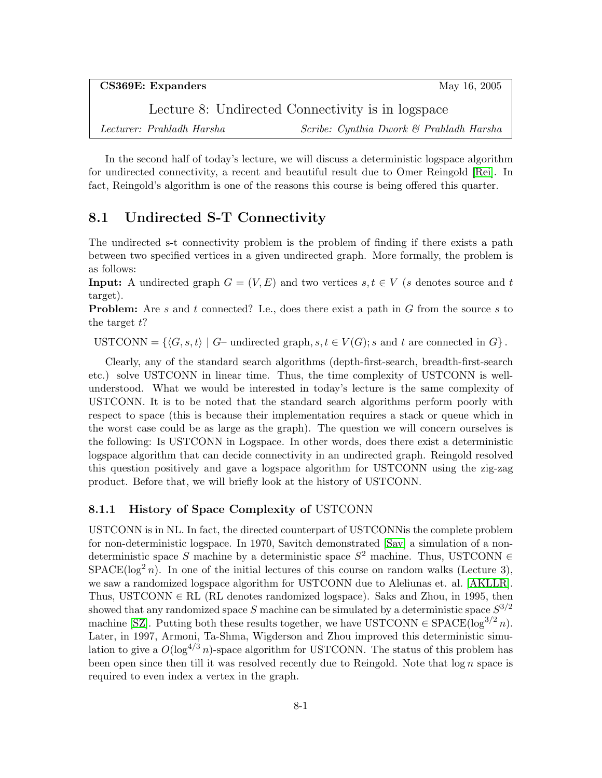CS369E: Expanders May 16, 2005 Lecture 8: Undirected Connectivity is in logspace Lecturer: Prahladh Harsha Scribe: Cynthia Dwork & Prahladh Harsha

In the second half of today's lecture, we will discuss a deterministic logspace algorithm for undirected connectivity, a recent and beautiful result due to Omer Reingold [\[Rei\]](#page-5-0). In fact, Reingold's algorithm is one of the reasons this course is being offered this quarter.

# 8.1 Undirected S-T Connectivity

The undirected s-t connectivity problem is the problem of finding if there exists a path between two specified vertices in a given undirected graph. More formally, the problem is as follows:

**Input:** A undirected graph  $G = (V, E)$  and two vertices  $s, t \in V$  (s denotes source and t target).

**Problem:** Are s and t connected? I.e., does there exist a path in G from the source s to the target  $t$ ?

USTCONN =  $\{(G, s, t) | G$ – undirected graph,  $s, t \in V(G); s$  and t are connected in  $G\}$ .

Clearly, any of the standard search algorithms (depth-first-search, breadth-first-search etc.) solve USTCONN in linear time. Thus, the time complexity of USTCONN is wellunderstood. What we would be interested in today's lecture is the same complexity of USTCONN. It is to be noted that the standard search algorithms perform poorly with respect to space (this is because their implementation requires a stack or queue which in the worst case could be as large as the graph). The question we will concern ourselves is the following: Is USTCONN in Logspace. In other words, does there exist a deterministic logspace algorithm that can decide connectivity in an undirected graph. Reingold resolved this question positively and gave a logspace algorithm for USTCONN using the zig-zag product. Before that, we will briefly look at the history of USTCONN.

#### 8.1.1 History of Space Complexity of USTCONN

USTCONN is in NL. In fact, the directed counterpart of USTCONNis the complete problem for non-deterministic logspace. In 1970, Savitch demonstrated [\[Sav\]](#page-5-1) a simulation of a nondeterministic space S machine by a deterministic space  $S^2$  machine. Thus, USTCONN  $\in$  $SPACE(log<sup>2</sup> n)$ . In one of the initial lectures of this course on random walks (Lecture 3), we saw a randomized logspace algorithm for USTCONN due to Aleliunas et. al. [\[AKLLR\]](#page-5-2). Thus, USTCONN  $\in$  RL (RL denotes randomized logspace). Saks and Zhou, in 1995, then showed that any randomized space S machine can be simulated by a deterministic space  $S^{3/2}$ machine [\[SZ\]](#page-5-3). Putting both these results together, we have USTCONN  $\in$  SPACE(log<sup>3/2</sup> n). Later, in 1997, Armoni, Ta-Shma, Wigderson and Zhou improved this deterministic simulation to give a  $O(\log^{4/3} n)$ -space algorithm for USTCONN. The status of this problem has been open since then till it was resolved recently due to Reingold. Note that  $\log n$  space is required to even index a vertex in the graph.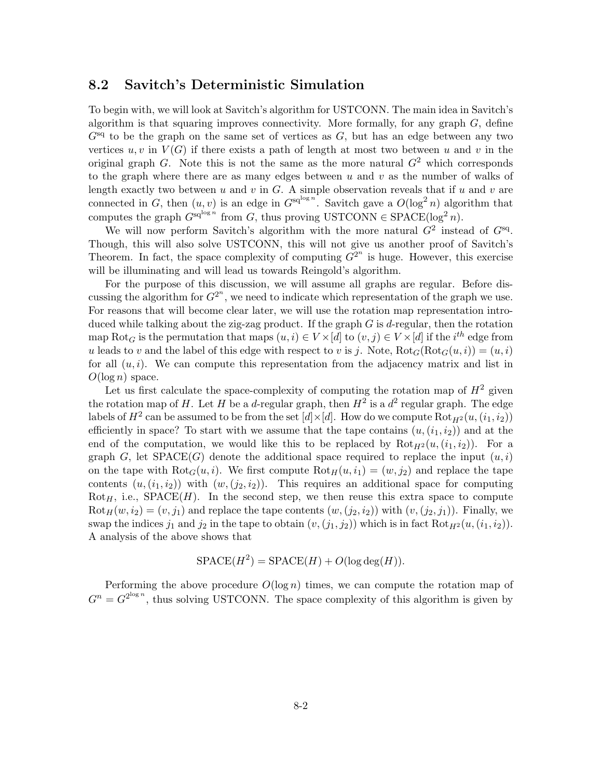#### 8.2 Savitch's Deterministic Simulation

To begin with, we will look at Savitch's algorithm for USTCONN. The main idea in Savitch's algorithm is that squaring improves connectivity. More formally, for any graph  $G$ , define  $G<sup>sq</sup>$  to be the graph on the same set of vertices as G, but has an edge between any two vertices  $u, v$  in  $V(G)$  if there exists a path of length at most two between u and v in the original graph G. Note this is not the same as the more natural  $G<sup>2</sup>$  which corresponds to the graph where there are as many edges between  $u$  and  $v$  as the number of walks of length exactly two between  $u$  and  $v$  in  $G$ . A simple observation reveals that if  $u$  and  $v$  are connected in G, then  $(u, v)$  is an edge in  $G^{sq^{\log n}}$ . Savitch gave a  $O(\log^2 n)$  algorithm that computes the graph  $G^{\text{sq}^{\log n}}$  from G, thus proving USTCONN  $\in$  SPACE(log<sup>2</sup> n).

We will now perform Savitch's algorithm with the more natural  $G^2$  instead of  $G^{\text{sq}}$ . Though, this will also solve USTCONN, this will not give us another proof of Savitch's Theorem. In fact, the space complexity of computing  $G^{2^n}$  is huge. However, this exercise will be illuminating and will lead us towards Reingold's algorithm.

For the purpose of this discussion, we will assume all graphs are regular. Before discussing the algorithm for  $G^{2^n}$ , we need to indicate which representation of the graph we use. For reasons that will become clear later, we will use the rotation map representation introduced while talking about the zig-zag product. If the graph  $G$  is d-regular, then the rotation map Rot<sub>G</sub> is the permutation that maps  $(u, i) \in V \times [d]$  to  $(v, j) \in V \times [d]$  if the *i*<sup>th</sup> edge from u leads to v and the label of this edge with respect to v is j. Note,  $Rot_G(Rot_G(u, i)) = (u, i)$ for all  $(u, i)$ . We can compute this representation from the adjacency matrix and list in  $O(\log n)$  space.

Let us first calculate the space-complexity of computing the rotation map of  $H^2$  given the rotation map of H. Let H be a d-regular graph, then  $H^2$  is a  $d^2$  regular graph. The edge labels of  $H^2$  can be assumed to be from the set  $[d] \times [d]$ . How do we compute  $\mathrm{Rot}_{H^2}(u,(i_1,i_2))$ efficiently in space? To start with we assume that the tape contains  $(u,(i_1,i_2))$  and at the end of the computation, we would like this to be replaced by  $\text{Rot}_{H^2}(u,(i_1,i_2))$ . For a graph G, let  $SPACE(G)$  denote the additional space required to replace the input  $(u, i)$ on the tape with  $\text{Rot}_{G}(u, i)$ . We first compute  $\text{Rot}_{H}(u, i_{1}) = (w, j_{2})$  and replace the tape contents  $(u, (i_1, i_2))$  with  $(w, (j_2, i_2))$ . This requires an additional space for computing  $Rot_{H}$ , i.e.,  $SPACE(H)$ . In the second step, we then reuse this extra space to compute  $Rot_H(w, i_2) = (v, j_1)$  and replace the tape contents  $(w, (j_2, i_2))$  with  $(v, (j_2, j_1))$ . Finally, we swap the indices  $j_1$  and  $j_2$  in the tape to obtain  $(v,(j_1, j_2))$  which is in fact  $Rot_{H^2}(u,(i_1, i_2))$ . A analysis of the above shows that

$$
SPACE(H2) = SPACE(H) + O(log deg(H)).
$$

Performing the above procedure  $O(\log n)$  times, we can compute the rotation map of  $G^n = G^{2^{\log n}}$ , thus solving USTCONN. The space complexity of this algorithm is given by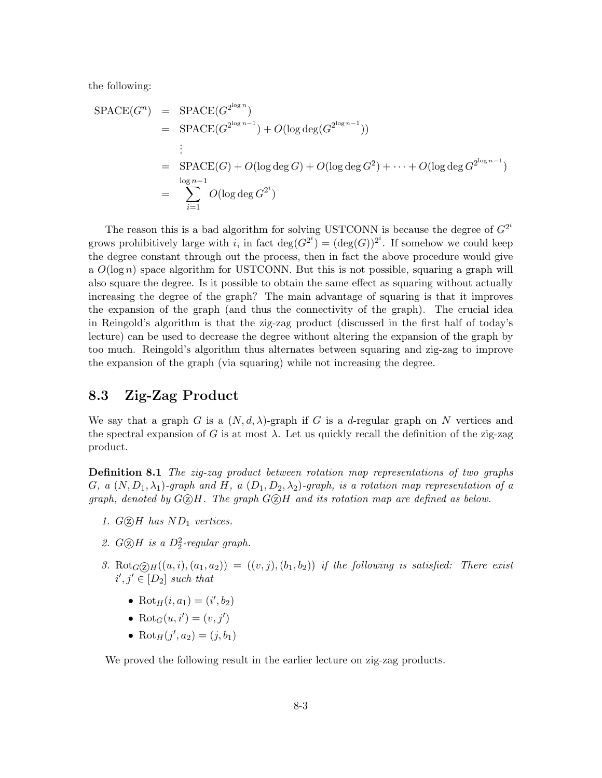the following:

$$
SPACE(G^n) = SPACE(G^{2^{\log n}})
$$
  
= SPACE(G^{2^{\log n-1}}) + O(\log \deg(G^{2^{\log n-1}}))  
:  
= SPACE(G) + O(\log \deg G) + O(\log \deg G^2) + \dots + O(\log \deg G^{2^{\log n-1}})  
= 
$$
\sum_{i=1}^{\log n-1} O(\log \deg G^{2^i})
$$

The reason this is a bad algorithm for solving USTCONN is because the degree of  $G^{2^i}$ grows prohibitively large with i, in fact  $deg(G^{2^i}) = (deg(G))^{2^i}$ . If somehow we could keep the degree constant through out the process, then in fact the above procedure would give a  $O(\log n)$  space algorithm for USTCONN. But this is not possible, squaring a graph will also square the degree. Is it possible to obtain the same effect as squaring without actually increasing the degree of the graph? The main advantage of squaring is that it improves the expansion of the graph (and thus the connectivity of the graph). The crucial idea in Reingold's algorithm is that the zig-zag product (discussed in the first half of today's lecture) can be used to decrease the degree without altering the expansion of the graph by too much. Reingold's algorithm thus alternates between squaring and zig-zag to improve the expansion of the graph (via squaring) while not increasing the degree.

### 8.3 Zig-Zag Product

We say that a graph G is a  $(N, d, \lambda)$ -graph if G is a d-regular graph on N vertices and the spectral expansion of G is at most  $\lambda$ . Let us quickly recall the definition of the zig-zag product.

**Definition 8.1** The zig-zag product between rotation map representations of two graphs G, a  $(N, D_1, \lambda_1)$ -graph and H, a  $(D_1, D_2, \lambda_2)$ -graph, is a rotation map representation of a graph, denoted by  $G \oslash H$ . The graph  $G \oslash H$  and its rotation map are defined as below.

- 1.  $G \odot H$  has  $ND_1$  vertices.
- 2.  $G \textcircled{2} H$  is a  $D_2^2$ -regular graph.
- 3. Rot $_G(g_H((u, i), (a_1, a_2)) = ((v, j), (b_1, b_2))$  if the following is satisfied: There exist  $i', j' \in [D_2]$  such that
	- Rot<sub>H</sub> $(i, a_1) = (i', b_2)$
	- Rot $_G(u, i') = (v, j')$
	- Rot<sub>H</sub> $(j', a_2) = (j, b_1)$

We proved the following result in the earlier lecture on zig-zag products.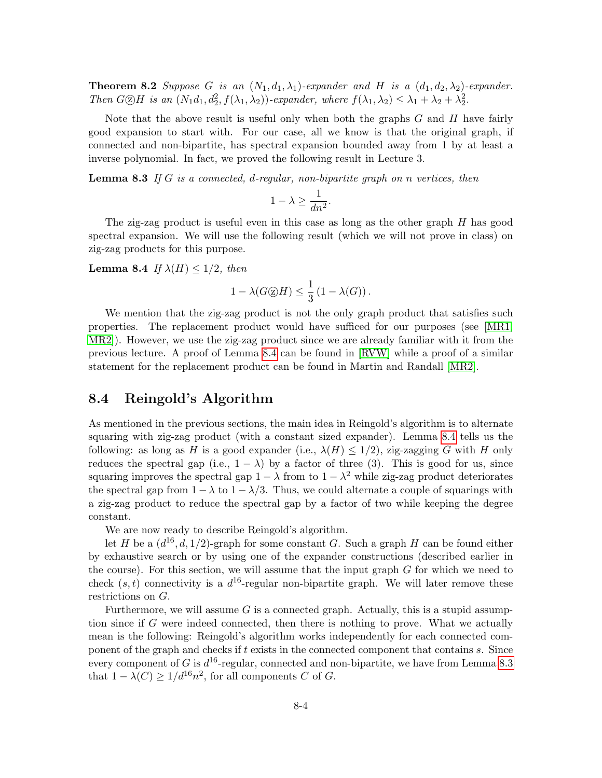**Theorem 8.2** Suppose G is an  $(N_1, d_1, \lambda_1)$ -expander and H is a  $(d_1, d_2, \lambda_2)$ -expander. Then  $G \otimes H$  is an  $(N_1d_1, d_2^2, f(\lambda_1, \lambda_2))$ -expander, where  $f(\lambda_1, \lambda_2) \leq \lambda_1 + \lambda_2 + \lambda_2^2$ .

Note that the above result is useful only when both the graphs  $G$  and  $H$  have fairly good expansion to start with. For our case, all we know is that the original graph, if connected and non-bipartite, has spectral expansion bounded away from 1 by at least a inverse polynomial. In fact, we proved the following result in Lecture 3.

<span id="page-3-1"></span>**Lemma 8.3** If G is a connected, d-regular, non-bipartite graph on n vertices, then

$$
1 - \lambda \ge \frac{1}{dn^2}.
$$

The zig-zag product is useful even in this case as long as the other graph H has good spectral expansion. We will use the following result (which we will not prove in class) on zig-zag products for this purpose.

<span id="page-3-0"></span>**Lemma 8.4** If  $\lambda(H) \leq 1/2$ , then

$$
1 - \lambda(G \textcircled{2} H) \le \frac{1}{3} (1 - \lambda(G)).
$$

We mention that the zig-zag product is not the only graph product that satisfies such properties. The replacement product would have sufficed for our purposes (see [\[MR1,](#page-5-4) [MR2\]](#page-5-5)). However, we use the zig-zag product since we are already familiar with it from the previous lecture. A proof of Lemma [8.4](#page-3-0) can be found in [\[RVW\]](#page-5-6) while a proof of a similar statement for the replacement product can be found in Martin and Randall [\[MR2\]](#page-5-5).

### 8.4 Reingold's Algorithm

As mentioned in the previous sections, the main idea in Reingold's algorithm is to alternate squaring with zig-zag product (with a constant sized expander). Lemma [8.4](#page-3-0) tells us the following: as long as H is a good expander (i.e.,  $\lambda(H) \leq 1/2$ ), zig-zagging G with H only reduces the spectral gap (i.e.,  $1 - \lambda$ ) by a factor of three (3). This is good for us, since squaring improves the spectral gap  $1 - \lambda$  from to  $1 - \lambda^2$  while zig-zag product deteriorates the spectral gap from  $1 - \lambda$  to  $1 - \lambda/3$ . Thus, we could alternate a couple of squarings with a zig-zag product to reduce the spectral gap by a factor of two while keeping the degree constant.

We are now ready to describe Reingold's algorithm.

let H be a  $(d^{16}, d, 1/2)$ -graph for some constant G. Such a graph H can be found either by exhaustive search or by using one of the expander constructions (described earlier in the course). For this section, we will assume that the input graph  $G$  for which we need to check  $(s, t)$  connectivity is a  $d^{16}$ -regular non-bipartite graph. We will later remove these restrictions on G.

Furthermore, we will assume  $G$  is a connected graph. Actually, this is a stupid assumption since if G were indeed connected, then there is nothing to prove. What we actually mean is the following: Reingold's algorithm works independently for each connected component of the graph and checks if t exists in the connected component that contains s. Since every component of G is  $d^{16}$ -regular, connected and non-bipartite, we have from Lemma [8.3](#page-3-1) that  $1 - \lambda(C) \geq 1/d^{16}n^2$ , for all components C of G.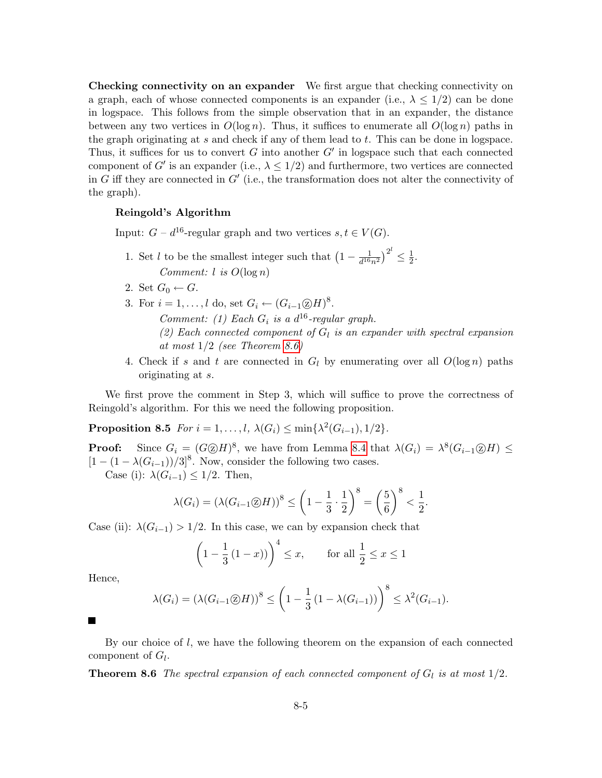Checking connectivity on an expander We first argue that checking connectivity on a graph, each of whose connected components is an expander (i.e.,  $\lambda \leq 1/2$ ) can be done in logspace. This follows from the simple observation that in an expander, the distance between any two vertices in  $O(\log n)$ . Thus, it suffices to enumerate all  $O(\log n)$  paths in the graph originating at  $s$  and check if any of them lead to  $t$ . This can be done in logspace. Thus, it suffices for us to convert  $G$  into another  $G'$  in logspace such that each connected component of G' is an expander (i.e.,  $\lambda \leq 1/2$ ) and furthermore, two vertices are connected in G iff they are connected in  $G'$  (i.e., the transformation does not alter the connectivity of the graph).

#### Reingold's Algorithm

Input:  $G - d^{16}$ -regular graph and two vertices  $s, t \in V(G)$ .

- 1. Set l to be the smallest integer such that  $\left(1 \frac{1}{d^{16}}\right)$  $\frac{1}{d^{16}n^2}\big)^{2^l}\leq \frac{1}{2}$  $\frac{1}{2}$ . Comment: l is  $O(\log n)$
- 2. Set  $G_0 \leftarrow G$ .
- 3. For  $i = 1, \ldots, l$  do, set  $G_i \leftarrow (G_{i-1} \textcircled{x} H)^8$ . Comment: (1) Each  $G_i$  is a  $d^{16}$ -regular graph. (2) Each connected component of  $G_l$  is an expander with spectral expansion at most  $1/2$  (see Theorem [8.6\)](#page-4-0)
- 4. Check if s and t are connected in  $G_l$  by enumerating over all  $O(\log n)$  paths originating at s.

We first prove the comment in Step 3, which will suffice to prove the correctness of Reingold's algorithm. For this we need the following proposition.

Proposition 8.5  $For i = 1, ..., l, \lambda(G_i) \le \min\{\lambda^2(G_{i-1}), 1/2\}.$ 

**Proof:** Since  $G_i = (G \otimes H)^8$ , we have from Lemma [8.4](#page-3-0) that  $\lambda(G_i) = \lambda^8(G_{i-1} \otimes H) \le$  $[1 - (1 - \lambda(G_{i-1}))/3]^8$ . Now, consider the following two cases.

Case (i):  $\lambda(G_{i-1}) \leq 1/2$ . Then,

$$
\lambda(G_i) = \left(\lambda(G_{i-1}\textcircled{2}H)\right)^8 \le \left(1 - \frac{1}{3} \cdot \frac{1}{2}\right)^8 = \left(\frac{5}{6}\right)^8 < \frac{1}{2}.
$$

Case (ii):  $\lambda(G_{i-1}) > 1/2$ . In this case, we can by expansion check that

$$
\left(1 - \frac{1}{3}(1 - x)\right)^4 \le x
$$
, for all  $\frac{1}{2} \le x \le 1$ 

Hence,

<span id="page-4-0"></span>
$$
\lambda(G_i) = \left(\lambda(G_{i-1}\textcircled{2}H)\right)^8 \le \left(1 - \frac{1}{3}\left(1 - \lambda(G_{i-1})\right)\right)^8 \le \lambda^2(G_{i-1}).
$$

 $\blacksquare$ 

By our choice of  $l$ , we have the following theorem on the expansion of each connected component of  $G_l$ .

**Theorem 8.6** The spectral expansion of each connected component of  $G_l$  is at most  $1/2$ .